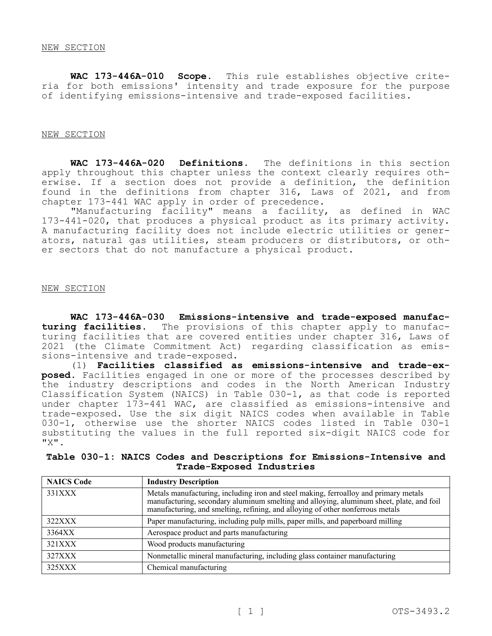**WAC 173-446A-010 Scope.** This rule establishes objective criteria for both emissions' intensity and trade exposure for the purpose of identifying emissions-intensive and trade-exposed facilities.

#### NEW SECTION

**WAC 173-446A-020 Definitions.** The definitions in this section apply throughout this chapter unless the context clearly requires otherwise. If a section does not provide a definition, the definition found in the definitions from chapter 316, Laws of 2021, and from chapter 173-441 WAC apply in order of precedence.

"Manufacturing facility" means a facility, as defined in WAC 173-441-020, that produces a physical product as its primary activity. A manufacturing facility does not include electric utilities or generators, natural gas utilities, steam producers or distributors, or other sectors that do not manufacture a physical product.

### NEW SECTION

**WAC 173-446A-030 Emissions-intensive and trade-exposed manufacturing facilities.** The provisions of this chapter apply to manufacturing facilities that are covered entities under chapter 316, Laws of 2021 (the Climate Commitment Act) regarding classification as emissions-intensive and trade-exposed.

(1) **Facilities classified as emissions-intensive and trade-exposed.** Facilities engaged in one or more of the processes described by the industry descriptions and codes in the North American Industry Classification System (NAICS) in Table 030-1, as that code is reported under chapter 173-441 WAC, are classified as emissions-intensive and trade-exposed. Use the six digit NAICS codes when available in Table 030-1, otherwise use the shorter NAICS codes listed in Table 030-1 substituting the values in the full reported six-digit NAICS code for "X".

# **Table 030-1: NAICS Codes and Descriptions for Emissions-Intensive and Trade-Exposed Industries**

| <b>NAICS Code</b> | <b>Industry Description</b>                                                                                                                                                                                                                                     |
|-------------------|-----------------------------------------------------------------------------------------------------------------------------------------------------------------------------------------------------------------------------------------------------------------|
| 331XXX            | Metals manufacturing, including iron and steel making, ferroalloy and primary metals manufacturing, secondary aluminum smelting and alloying, aluminum sheet, plate, and foil<br>manufacturing, and smelling, refining, and alloying of other nonferrous metals |
| 322XXX            | Paper manufacturing, including pulp mills, paper mills, and paperboard milling                                                                                                                                                                                  |
| 3364XX            | Aerospace product and parts manufacturing                                                                                                                                                                                                                       |
| 321XXX            | Wood products manufacturing                                                                                                                                                                                                                                     |
| 327XXX            | Nonmetallic mineral manufacturing, including glass container manufacturing                                                                                                                                                                                      |
| 325XXX            | Chemical manufacturing                                                                                                                                                                                                                                          |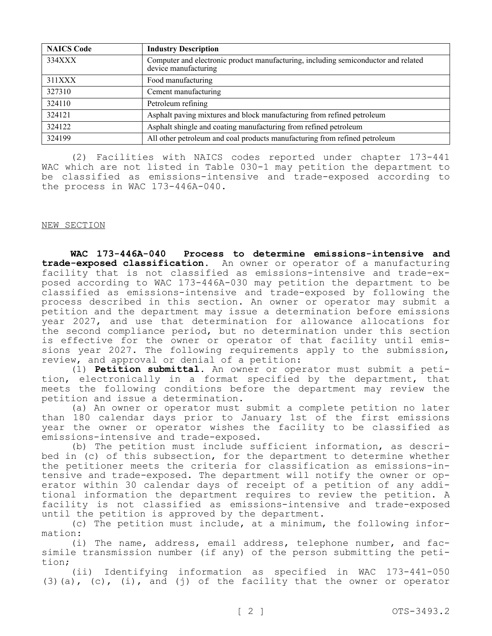| <b>NAICS Code</b> | <b>Industry Description</b>                                                                                |
|-------------------|------------------------------------------------------------------------------------------------------------|
| 334XXX            | Computer and electronic product manufacturing, including semiconductor and related<br>device manufacturing |
| 311XXX            | Food manufacturing                                                                                         |
| 327310            | Cement manufacturing                                                                                       |
| 324110            | Petroleum refining                                                                                         |
| 324121            | Asphalt paving mixtures and block manufacturing from refined petroleum                                     |
| 324122            | Asphalt shingle and coating manufacturing from refined petroleum                                           |
| 324199            | All other petroleum and coal products manufacturing from refined petroleum                                 |

(2) Facilities with NAICS codes reported under chapter 173-441 WAC which are not listed in Table 030-1 may petition the department to be classified as emissions-intensive and trade-exposed according to the process in WAC 173-446A-040.

# NEW SECTION

**WAC 173-446A-040 Process to determine emissions-intensive and trade-exposed classification.** An owner or operator of a manufacturing facility that is not classified as emissions-intensive and trade-exposed according to WAC 173-446A-030 may petition the department to be classified as emissions-intensive and trade-exposed by following the process described in this section. An owner or operator may submit a petition and the department may issue a determination before emissions year 2027, and use that determination for allowance allocations for the second compliance period, but no determination under this section is effective for the owner or operator of that facility until emissions year 2027. The following requirements apply to the submission, review, and approval or denial of a petition:

(1) **Petition submittal.** An owner or operator must submit a petition, electronically in a format specified by the department, that meets the following conditions before the department may review the petition and issue a determination.

(a) An owner or operator must submit a complete petition no later than 180 calendar days prior to January 1st of the first emissions year the owner or operator wishes the facility to be classified as emissions-intensive and trade-exposed.

(b) The petition must include sufficient information, as described in (c) of this subsection, for the department to determine whether the petitioner meets the criteria for classification as emissions-intensive and trade-exposed. The department will notify the owner or operator within 30 calendar days of receipt of a petition of any additional information the department requires to review the petition. A facility is not classified as emissions-intensive and trade-exposed until the petition is approved by the department.

(c) The petition must include, at a minimum, the following information:

(i) The name, address, email address, telephone number, and facsimile transmission number (if any) of the person submitting the petition;

(ii) Identifying information as specified in WAC 173-441-050 (3)(a), (c), (i), and (j) of the facility that the owner or operator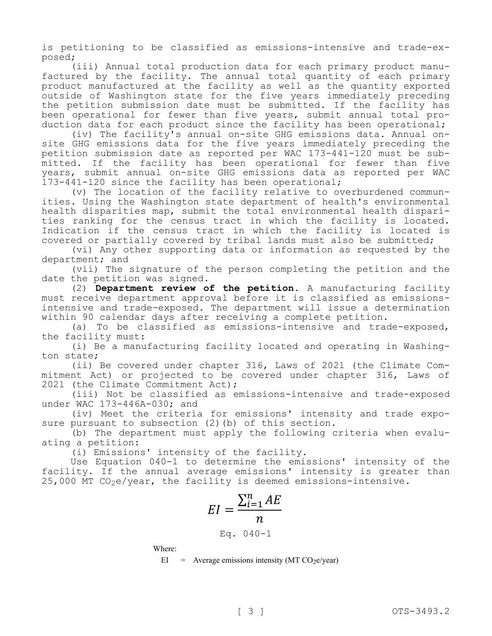is petitioning to be classified as emissions-intensive and trade-exposed;

(iii) Annual total production data for each primary product manufactured by the facility. The annual total quantity of each primary product manufactured at the facility as well as the quantity exported outside of Washington state for the five years immediately preceding the petition submission date must be submitted. If the facility has been operational for fewer than five years, submit annual total production data for each product since the facility has been operational;

(iv) The facility's annual on-site GHG emissions data. Annual onsite GHG emissions data for the five years immediately preceding the petition submission date as reported per WAC 173-441-120 must be submitted. If the facility has been operational for fewer than five years, submit annual on-site GHG emissions data as reported per WAC 173-441-120 since the facility has been operational;

(v) The location of the facility relative to overburdened communities. Using the Washington state department of health's environmental health disparities map, submit the total environmental health disparities ranking for the census tract in which the facility is located. Indication if the census tract in which the facility is located is covered or partially covered by tribal lands must also be submitted;

(vi) Any other supporting data or information as requested by the department; and

(vii) The signature of the person completing the petition and the date the petition was signed.

(2) **Department review of the petition.** A manufacturing facility must receive department approval before it is classified as emissionsintensive and trade-exposed. The department will issue a determination within 90 calendar days after receiving a complete petition.

(a) To be classified as emissions-intensive and trade-exposed, the facility must:

(i) Be a manufacturing facility located and operating in Washington state;

(ii) Be covered under chapter 316, Laws of 2021 (the Climate Commitment Act) or projected to be covered under chapter 316, Laws of 2021 (the Climate Commitment Act);

(iii) Not be classified as emissions-intensive and trade-exposed under WAC 173-446A-030; and

(iv) Meet the criteria for emissions' intensity and trade exposure pursuant to subsection (2)(b) of this section.

(b) The department must apply the following criteria when evaluating a petition:

(i) Emissions' intensity of the facility.

Use Equation 040-1 to determine the emissions' intensity of the facility. If the annual average emissions' intensity is greater than  $25,000$  MT CO<sub>2</sub>e/year, the facility is deemed emissions-intensive.

$$
EI = \frac{\sum_{i=1}^{n} AE}{n}
$$

$$
Eq. 040-1
$$

Where:

 $EI$  = Average emissions intensity (MT CO<sub>2</sub>e/year)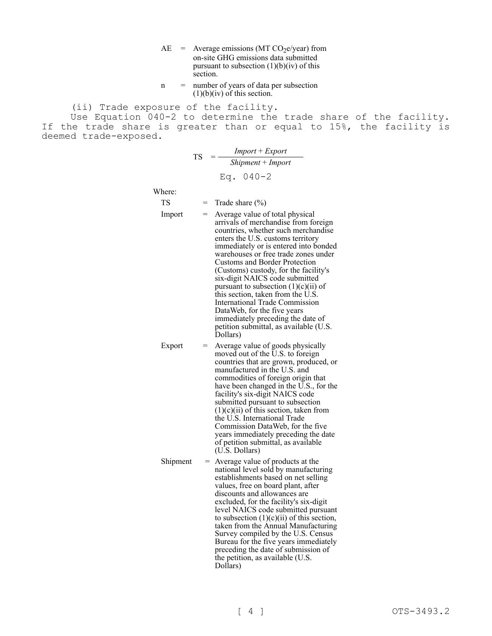- $AE$  = Average emissions (MT CO<sub>2</sub>e/year) from on-site GHG emissions data submitted pursuant to subsection  $(1)(b)(iv)$  of this section.
- n = number of years of data per subsection  $(1)(b)(iv)$  of this section.

(ii) Trade exposure of the facility.

Use Equation 040-2 to determine the trade share of the facility. If the trade share is greater than or equal to 15%, the facility is deemed trade-exposed.

> $TS = \frac{Import + Expert}{\sum_{i=1}^{n} I_i}$ *Shipment* + *Import* Eq. 040-2

Where:

- $TS = Trade share (%)$
- $Import = Average value of total physical$ arrivals of merchandise from foreign countries, whether such merchandise enters the U.S. customs territory immediately or is entered into bonded warehouses or free trade zones under Customs and Border Protection (Customs) custody, for the facility's six-digit NAICS code submitted pursuant to subsection  $(1)(c)(ii)$  of this section, taken from the U.S. International Trade Commission DataWeb, for the five years immediately preceding the date of petition submittal, as available (U.S. Dollars)
- Export  $=$  Average value of goods physically moved out of the U.S. to foreign countries that are grown, produced, or manufactured in the U.S. and commodities of foreign origin that have been changed in the U.S., for the facility's six-digit NAICS code submitted pursuant to subsection  $(1)(c)(ii)$  of this section, taken from the U.S. International Trade Commission DataWeb, for the five years immediately preceding the date of petition submittal, as available (U.S. Dollars)
- $Shipment = Average value of products at the$ national level sold by manufacturing establishments based on net selling values, free on board plant, after discounts and allowances are excluded, for the facility's six-digit level NAICS code submitted pursuant to subsection  $(1)(c)(ii)$  of this section, taken from the Annual Manufacturing Survey compiled by the U.S. Census Bureau for the five years immediately preceding the date of submission of the petition, as available (U.S. Dollars)